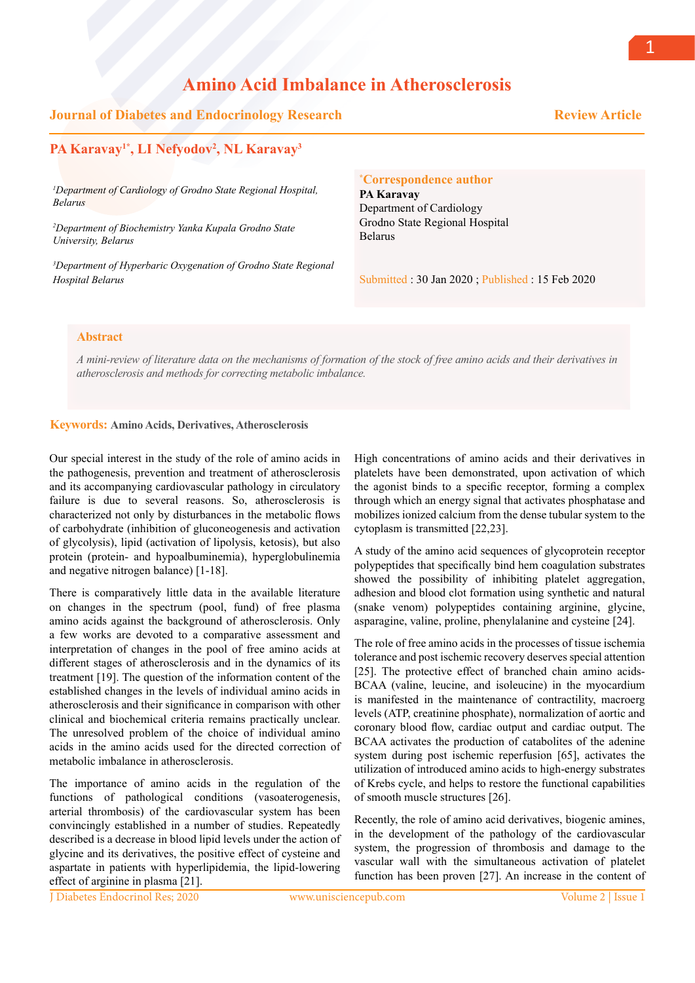# **Amino Acid Imbalance in Atherosclerosis**

## **Journal of Diabetes and Endocrinology Research**

 **Review Article**

# **PA Karavay1\*, LI Nefyodov2 , NL Karavay3**

*1 Department of Cardiology of Grodno State Regional Hospital, Belarus*

*2 Department of Biochemistry Yanka Kupala Grodno State University, Belarus*

*3 Department of Hyperbaric Oxygenation of Grodno State Regional Hospital Belarus*

**\* Correspondence author**

**PA Karavay** Department of Cardiology Grodno State Regional Hospital Belarus

Submitted : 30 Jan 2020 ; Published : 15 Feb 2020

### **Abstract**

*A mini-review of literature data on the mechanisms of formation of the stock of free amino acids and their derivatives in atherosclerosis and methods for correcting metabolic imbalance.*

#### **Keywords: Amino Acids, Derivatives, Atherosclerosis**

Our special interest in the study of the role of amino acids in the pathogenesis, prevention and treatment of atherosclerosis and its accompanying cardiovascular pathology in circulatory failure is due to several reasons. So, atherosclerosis is characterized not only by disturbances in the metabolic flows of carbohydrate (inhibition of gluconeogenesis and activation of glycolysis), lipid (activation of lipolysis, ketosis), but also protein (protein- and hypoalbuminemia), hyperglobulinemia and negative nitrogen balance) [1-18].

There is comparatively little data in the available literature on changes in the spectrum (pool, fund) of free plasma amino acids against the background of atherosclerosis. Only a few works are devoted to a comparative assessment and interpretation of changes in the pool of free amino acids at different stages of atherosclerosis and in the dynamics of its treatment [19]. The question of the information content of the established changes in the levels of individual amino acids in atherosclerosis and their significance in comparison with other clinical and biochemical criteria remains practically unclear. The unresolved problem of the choice of individual amino acids in the amino acids used for the directed correction of metabolic imbalance in atherosclerosis.

The importance of amino acids in the regulation of the functions of pathological conditions (vasoaterogenesis, arterial thrombosis) of the cardiovascular system has been convincingly established in a number of studies. Repeatedly described is a decrease in blood lipid levels under the action of glycine and its derivatives, the positive effect of cysteine and aspartate in patients with hyperlipidemia, the lipid-lowering effect of arginine in plasma [21].

High concentrations of amino acids and their derivatives in platelets have been demonstrated, upon activation of which the agonist binds to a specific receptor, forming a complex through which an energy signal that activates phosphatase and mobilizes ionized calcium from the dense tubular system to the cytoplasm is transmitted [22,23].

A study of the amino acid sequences of glycoprotein receptor polypeptides that specifically bind hem coagulation substrates showed the possibility of inhibiting platelet aggregation, adhesion and blood clot formation using synthetic and natural (snake venom) polypeptides containing arginine, glycine, asparagine, valine, proline, phenylalanine and cysteine [24].

The role of free amino acids in the processes of tissue ischemia tolerance and post ischemic recovery deserves special attention [25]. The protective effect of branched chain amino acids-BCAA (valine, leucine, and isoleucine) in the myocardium is manifested in the maintenance of contractility, macroerg levels (ATP, creatinine phosphate), normalization of aortic and coronary blood flow, cardiac output and cardiac output. The BCAA activates the production of catabolites of the adenine system during post ischemic reperfusion [65], activates the utilization of introduced amino acids to high-energy substrates of Krebs cycle, and helps to restore the functional capabilities of smooth muscle structures [26].

Recently, the role of amino acid derivatives, biogenic amines, in the development of the pathology of the cardiovascular system, the progression of thrombosis and damage to the vascular wall with the simultaneous activation of platelet function has been proven [27]. An increase in the content of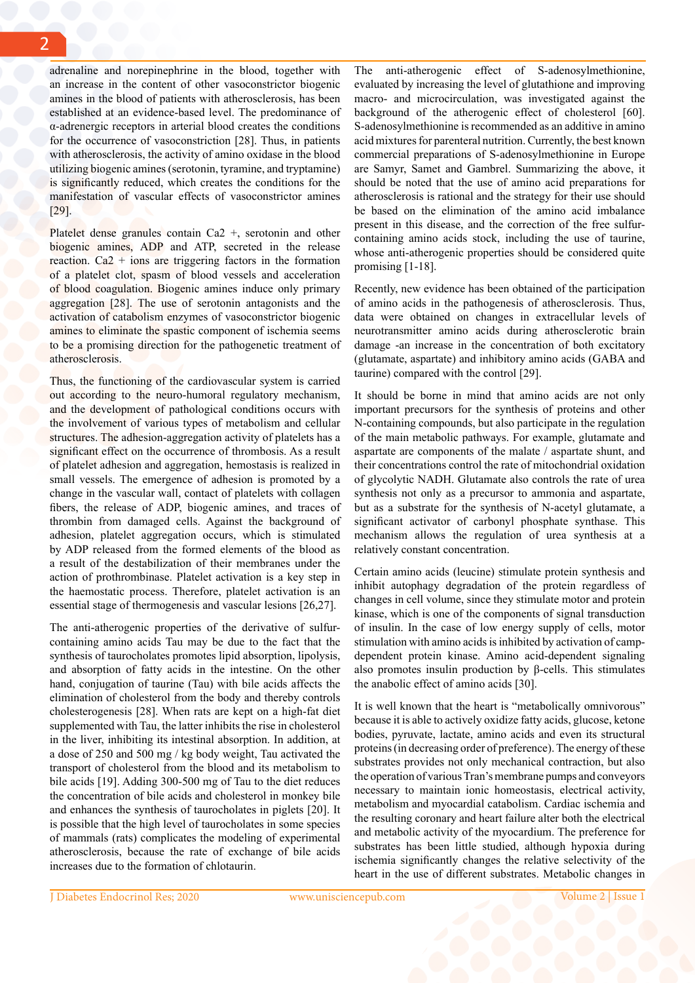adrenaline and norepinephrine in the blood, together with an increase in the content of other vasoconstrictor biogenic amines in the blood of patients with atherosclerosis, has been established at an evidence-based level. The predominance of α-adrenergic receptors in arterial blood creates the conditions for the occurrence of vasoconstriction [28]. Thus, in patients with atherosclerosis, the activity of amino oxidase in the blood utilizing biogenic amines (serotonin, tyramine, and tryptamine) is significantly reduced, which creates the conditions for the manifestation of vascular effects of vasoconstrictor amines [29].

Platelet dense granules contain Ca2 +, serotonin and other biogenic amines, ADP and ATP, secreted in the release reaction.  $Ca2 + ions$  are triggering factors in the formation of a platelet clot, spasm of blood vessels and acceleration of blood coagulation. Biogenic amines induce only primary aggregation [28]. The use of serotonin antagonists and the activation of catabolism enzymes of vasoconstrictor biogenic amines to eliminate the spastic component of ischemia seems to be a promising direction for the pathogenetic treatment of atherosclerosis.

Thus, the functioning of the cardiovascular system is carried out according to the neuro-humoral regulatory mechanism, and the development of pathological conditions occurs with the involvement of various types of metabolism and cellular structures. The adhesion-aggregation activity of platelets has a significant effect on the occurrence of thrombosis. As a result of platelet adhesion and aggregation, hemostasis is realized in small vessels. The emergence of adhesion is promoted by a change in the vascular wall, contact of platelets with collagen fibers, the release of ADP, biogenic amines, and traces of thrombin from damaged cells. Against the background of adhesion, platelet aggregation occurs, which is stimulated by ADP released from the formed elements of the blood as a result of the destabilization of their membranes under the action of prothrombinase. Platelet activation is a key step in the haemostatic process. Therefore, platelet activation is an essential stage of thermogenesis and vascular lesions [26,27].

The anti-atherogenic properties of the derivative of sulfurcontaining amino acids Tau may be due to the fact that the synthesis of taurocholates promotes lipid absorption, lipolysis, and absorption of fatty acids in the intestine. On the other hand, conjugation of taurine (Tau) with bile acids affects the elimination of cholesterol from the body and thereby controls cholesterogenesis [28]. When rats are kept on a high-fat diet supplemented with Tau, the latter inhibits the rise in cholesterol in the liver, inhibiting its intestinal absorption. In addition, at a dose of 250 and 500 mg / kg body weight, Tau activated the transport of cholesterol from the blood and its metabolism to bile acids [19]. Adding 300-500 mg of Tau to the diet reduces the concentration of bile acids and cholesterol in monkey bile and enhances the synthesis of taurocholates in piglets [20]. It is possible that the high level of taurocholates in some species of mammals (rats) complicates the modeling of experimental atherosclerosis, because the rate of exchange of bile acids increases due to the formation of chlotaurin.

The anti-atherogenic effect of S-adenosylmethionine, evaluated by increasing the level of glutathione and improving macro- and microcirculation, was investigated against the background of the atherogenic effect of cholesterol [60]. S-adenosylmethionine is recommended as an additive in amino acid mixtures for parenteral nutrition. Currently, the best known commercial preparations of S-adenosylmethionine in Europe are Samyr, Samet and Gambrel. Summarizing the above, it should be noted that the use of amino acid preparations for atherosclerosis is rational and the strategy for their use should be based on the elimination of the amino acid imbalance present in this disease, and the correction of the free sulfurcontaining amino acids stock, including the use of taurine, whose anti-atherogenic properties should be considered quite promising [1-18].

Recently, new evidence has been obtained of the participation of amino acids in the pathogenesis of atherosclerosis. Thus, data were obtained on changes in extracellular levels of neurotransmitter amino acids during atherosclerotic brain damage -an increase in the concentration of both excitatory (glutamate, aspartate) and inhibitory amino acids (GABA and taurine) compared with the control [29].

It should be borne in mind that amino acids are not only important precursors for the synthesis of proteins and other N-containing compounds, but also participate in the regulation of the main metabolic pathways. For example, glutamate and aspartate are components of the malate / aspartate shunt, and their concentrations control the rate of mitochondrial oxidation of glycolytic NADH. Glutamate also controls the rate of urea synthesis not only as a precursor to ammonia and aspartate, but as a substrate for the synthesis of N-acetyl glutamate, a significant activator of carbonyl phosphate synthase. This mechanism allows the regulation of urea synthesis at a relatively constant concentration.

Certain amino acids (leucine) stimulate protein synthesis and inhibit autophagy degradation of the protein regardless of changes in cell volume, since they stimulate motor and protein kinase, which is one of the components of signal transduction of insulin. In the case of low energy supply of cells, motor stimulation with amino acids is inhibited by activation of campdependent protein kinase. Amino acid-dependent signaling also promotes insulin production by β-cells. This stimulates the anabolic effect of amino acids [30].

It is well known that the heart is "metabolically omnivorous" because it is able to actively oxidize fatty acids, glucose, ketone bodies, pyruvate, lactate, amino acids and even its structural proteins (in decreasing order of preference). The energy of these substrates provides not only mechanical contraction, but also the operation of various Tran's membrane pumps and conveyors necessary to maintain ionic homeostasis, electrical activity, metabolism and myocardial catabolism. Cardiac ischemia and the resulting coronary and heart failure alter both the electrical and metabolic activity of the myocardium. The preference for substrates has been little studied, although hypoxia during ischemia significantly changes the relative selectivity of the heart in the use of different substrates. Metabolic changes in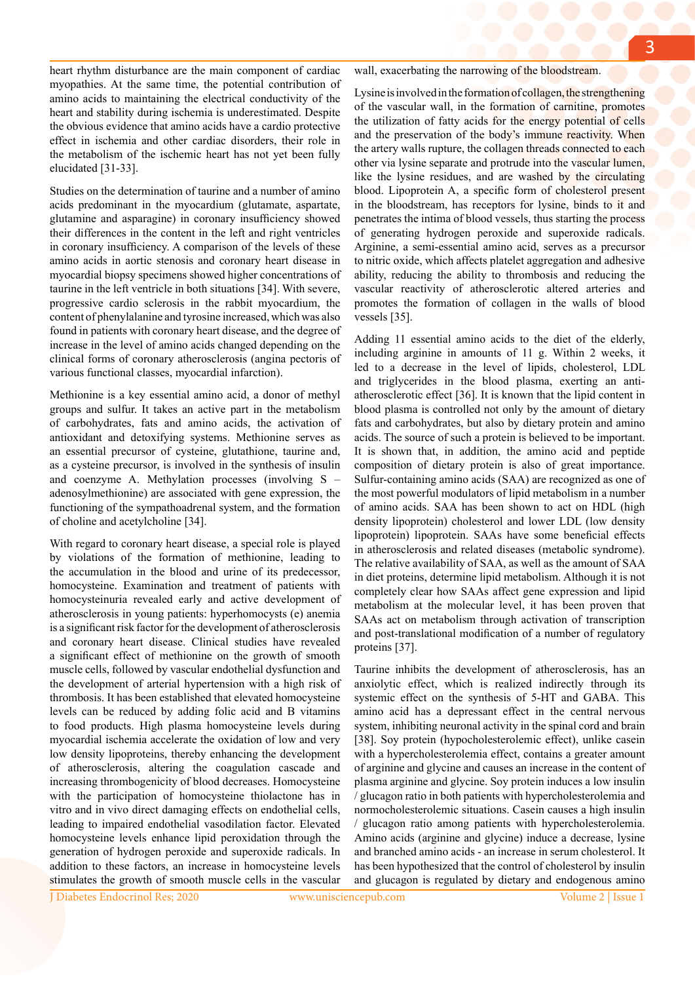heart rhythm disturbance are the main component of cardiac myopathies. At the same time, the potential contribution of amino acids to maintaining the electrical conductivity of the heart and stability during ischemia is underestimated. Despite the obvious evidence that amino acids have a cardio protective effect in ischemia and other cardiac disorders, their role in the metabolism of the ischemic heart has not yet been fully elucidated [31-33].

Studies on the determination of taurine and a number of amino acids predominant in the myocardium (glutamate, aspartate, glutamine and asparagine) in coronary insufficiency showed their differences in the content in the left and right ventricles in coronary insufficiency. A comparison of the levels of these amino acids in aortic stenosis and coronary heart disease in myocardial biopsy specimens showed higher concentrations of taurine in the left ventricle in both situations [34]. With severe, progressive cardio sclerosis in the rabbit myocardium, the content of phenylalanine and tyrosine increased, which was also found in patients with coronary heart disease, and the degree of increase in the level of amino acids changed depending on the clinical forms of coronary atherosclerosis (angina pectoris of various functional classes, myocardial infarction).

Methionine is a key essential amino acid, a donor of methyl groups and sulfur. It takes an active part in the metabolism of carbohydrates, fats and amino acids, the activation of antioxidant and detoxifying systems. Methionine serves as an essential precursor of cysteine, glutathione, taurine and, as a cysteine precursor, is involved in the synthesis of insulin and coenzyme A. Methylation processes (involving S – adenosylmethionine) are associated with gene expression, the functioning of the sympathoadrenal system, and the formation of choline and acetylcholine [34].

With regard to coronary heart disease, a special role is played by violations of the formation of methionine, leading to the accumulation in the blood and urine of its predecessor, homocysteine. Examination and treatment of patients with homocysteinuria revealed early and active development of atherosclerosis in young patients: hyperhomocysts (e) anemia is a significant risk factor for the development of atherosclerosis and coronary heart disease. Clinical studies have revealed a significant effect of methionine on the growth of smooth muscle cells, followed by vascular endothelial dysfunction and the development of arterial hypertension with a high risk of thrombosis. It has been established that elevated homocysteine levels can be reduced by adding folic acid and B vitamins to food products. High plasma homocysteine levels during myocardial ischemia accelerate the oxidation of low and very low density lipoproteins, thereby enhancing the development of atherosclerosis, altering the coagulation cascade and increasing thrombogenicity of blood decreases. Homocysteine with the participation of homocysteine thiolactone has in vitro and in vivo direct damaging effects on endothelial cells, leading to impaired endothelial vasodilation factor. Elevated homocysteine levels enhance lipid peroxidation through the generation of hydrogen peroxide and superoxide radicals. In addition to these factors, an increase in homocysteine levels stimulates the growth of smooth muscle cells in the vascular

wall, exacerbating the narrowing of the bloodstream.

Lysine is involved in the formation of collagen, the strengthening of the vascular wall, in the formation of carnitine, promotes the utilization of fatty acids for the energy potential of cells and the preservation of the body's immune reactivity. When the artery walls rupture, the collagen threads connected to each other via lysine separate and protrude into the vascular lumen, like the lysine residues, and are washed by the circulating blood. Lipoprotein A, a specific form of cholesterol present in the bloodstream, has receptors for lysine, binds to it and penetrates the intima of blood vessels, thus starting the process of generating hydrogen peroxide and superoxide radicals. Arginine, a semi-essential amino acid, serves as a precursor to nitric oxide, which affects platelet aggregation and adhesive ability, reducing the ability to thrombosis and reducing the vascular reactivity of atherosclerotic altered arteries and promotes the formation of collagen in the walls of blood vessels [35].

Adding 11 essential amino acids to the diet of the elderly, including arginine in amounts of 11 g. Within 2 weeks, it led to a decrease in the level of lipids, cholesterol, LDL and triglycerides in the blood plasma, exerting an antiatherosclerotic effect [36]. It is known that the lipid content in blood plasma is controlled not only by the amount of dietary fats and carbohydrates, but also by dietary protein and amino acids. The source of such a protein is believed to be important. It is shown that, in addition, the amino acid and peptide composition of dietary protein is also of great importance. Sulfur-containing amino acids (SAA) are recognized as one of the most powerful modulators of lipid metabolism in a number of amino acids. SAA has been shown to act on HDL (high density lipoprotein) cholesterol and lower LDL (low density lipoprotein) lipoprotein. SAAs have some beneficial effects in atherosclerosis and related diseases (metabolic syndrome). The relative availability of SAA, as well as the amount of SAA in diet proteins, determine lipid metabolism. Although it is not completely clear how SAAs affect gene expression and lipid metabolism at the molecular level, it has been proven that SAAs act on metabolism through activation of transcription and post-translational modification of a number of regulatory proteins [37].

Taurine inhibits the development of atherosclerosis, has an anxiolytic effect, which is realized indirectly through its systemic effect on the synthesis of 5-HT and GABA. This amino acid has a depressant effect in the central nervous system, inhibiting neuronal activity in the spinal cord and brain [38]. Soy protein (hypocholesterolemic effect), unlike casein with a hypercholesterolemia effect, contains a greater amount of arginine and glycine and causes an increase in the content of plasma arginine and glycine. Soy protein induces a low insulin / glucagon ratio in both patients with hypercholesterolemia and normocholesterolemic situations. Casein causes a high insulin / glucagon ratio among patients with hypercholesterolemia. Amino acids (arginine and glycine) induce a decrease, lysine and branched amino acids - an increase in serum cholesterol. It has been hypothesized that the control of cholesterol by insulin and glucagon is regulated by dietary and endogenous amino

J Diabetes Endocrinol Res; 2020 www.unisciencepub.com Volume 2 | Issue 1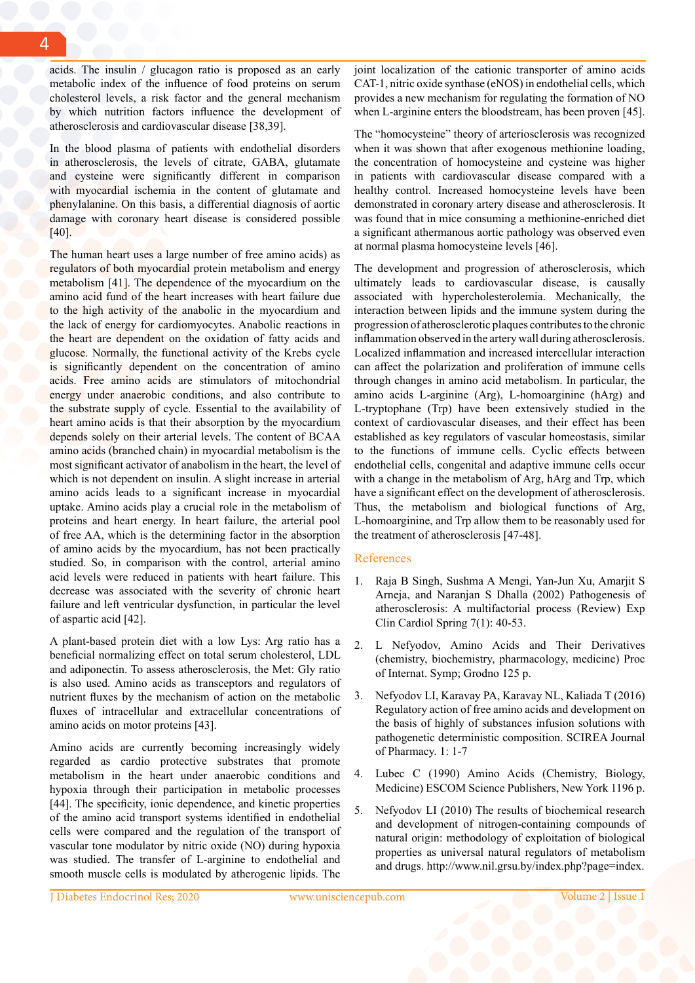acids. The insulin / glucagon ratio is proposed as an early metabolic index of the influence of food proteins on serum cholesterol levels, a risk factor and the general mechanism by which nutrition factors influence the development of atherosclerosis and cardiovascular disease [38,39].

In the blood plasma of patients with endothelial disorders in atherosclerosis, the levels of citrate, GABA, glutamate and cysteine were significantly different in comparison with myocardial ischemia in the content of glutamate and phenylalanine. On this basis, a differential diagnosis of aortic damage with coronary heart disease is considered possible [40].

The human heart uses a large number of free amino acids) as regulators of both myocardial protein metabolism and energy metabolism [41]. The dependence of the myocardium on the amino acid fund of the heart increases with heart failure due to the high activity of the anabolic in the myocardium and the lack of energy for cardiomyocytes. Anabolic reactions in the heart are dependent on the oxidation of fatty acids and glucose. Normally, the functional activity of the Krebs cycle is significantly dependent on the concentration of amino acids. Free amino acids are stimulators of mitochondrial energy under anaerobic conditions, and also contribute to the substrate supply of cycle. Essential to the availability of heart amino acids is that their absorption by the myocardium depends solely on their arterial levels. The content of BCAA amino acids (branched chain) in myocardial metabolism is the most significant activator of anabolism in the heart, the level of which is not dependent on insulin. A slight increase in arterial amino acids leads to a significant increase in myocardial uptake. Amino acids play a crucial role in the metabolism of proteins and heart energy. In heart failure, the arterial pool of free AA, which is the determining factor in the absorption of amino acids by the myocardium, has not been practically studied. So, in comparison with the control, arterial amino acid levels were reduced in patients with heart failure. This decrease was associated with the severity of chronic heart failure and left ventricular dysfunction, in particular the level of aspartic acid [42].

A plant-based protein diet with a low Lys: Arg ratio has a beneficial normalizing effect on total serum cholesterol, LDL and adiponectin. To assess atherosclerosis, the Met: Gly ratio is also used. Amino acids as transceptors and regulators of nutrient fluxes by the mechanism of action on the metabolic fluxes of intracellular and extracellular concentrations of amino acids on motor proteins [43].

Amino acids are currently becoming increasingly widely regarded as cardio protective substrates that promote metabolism in the heart under anaerobic conditions and hypoxia through their participation in metabolic processes [44]. The specificity, ionic dependence, and kinetic properties of the amino acid transport systems identified in endothelial cells were compared and the regulation of the transport of vascular tone modulator by nitric oxide (NO) during hypoxia was studied. The transfer of L-arginine to endothelial and smooth muscle cells is modulated by atherogenic lipids. The joint localization of the cationic transporter of amino acids CAT-1, nitric oxide synthase (eNOS) in endothelial cells, which provides a new mechanism for regulating the formation of NO when L-arginine enters the bloodstream, has been proven [45].

The "homocysteine" theory of arteriosclerosis was recognized when it was shown that after exogenous methionine loading, the concentration of homocysteine and cysteine was higher in patients with cardiovascular disease compared with a healthy control. Increased homocysteine levels have been demonstrated in coronary artery disease and atherosclerosis. It was found that in mice consuming a methionine-enriched diet a significant athermanous aortic pathology was observed even at normal plasma homocysteine levels [46].

The development and progression of atherosclerosis, which ultimately leads to cardiovascular disease, is causally associated with hypercholesterolemia. Mechanically, the interaction between lipids and the immune system during the progression of atherosclerotic plaques contributes to the chronic inflammation observed in the artery wall during atherosclerosis. Localized inflammation and increased intercellular interaction can affect the polarization and proliferation of immune cells through changes in amino acid metabolism. In particular, the amino acids L-arginine (Arg), L-homoarginine (hArg) and L-tryptophane (Trp) have been extensively studied in the context of cardiovascular diseases, and their effect has been established as key regulators of vascular homeostasis, similar to the functions of immune cells. Cyclic effects between endothelial cells, congenital and adaptive immune cells occur with a change in the metabolism of Arg, hArg and Trp, which have a significant effect on the development of atherosclerosis. Thus, the metabolism and biological functions of Arg, L-homoarginine, and Trp allow them to be reasonably used for the treatment of atherosclerosis [47-48].

#### References

- 1. Raja B Singh, Sushma A Mengi, Yan-Jun Xu, Amarjit S Arneja, and Naranjan S Dhalla (2002) Pathogenesis of atherosclerosis: A multifactorial process (Review) Exp Clin Cardiol Spring 7(1): 40-53.
- 2. L Nefyodov, Amino Acids and Their Derivatives (chemistry, biochemistry, pharmacology, medicine) Proc of Internat. Symp; Grodno 125 p.
- 3. Nefyodov LI, Karavay PA, Karavay NL, Kaliada T (2016) Regulatory action of free amino acids and development on the basis of highly of substances infusion solutions with pathogenetic deterministic composition. SCIREA Journal of Pharmacy. 1: 1-7
- 4. Lubec C (1990) Amino Acids (Chemistry, Biology, Medicine) ESCOM Science Publishers, New York 1196 p.
- 5. Nefyodov LI (2010) The results of biochemical research and development of nitrogen-containing compounds of natural origin: methodology of exploitation of biological properties as universal natural regulators of metabolism and drugs. http://www.nil.grsu.by/index.php?page=index.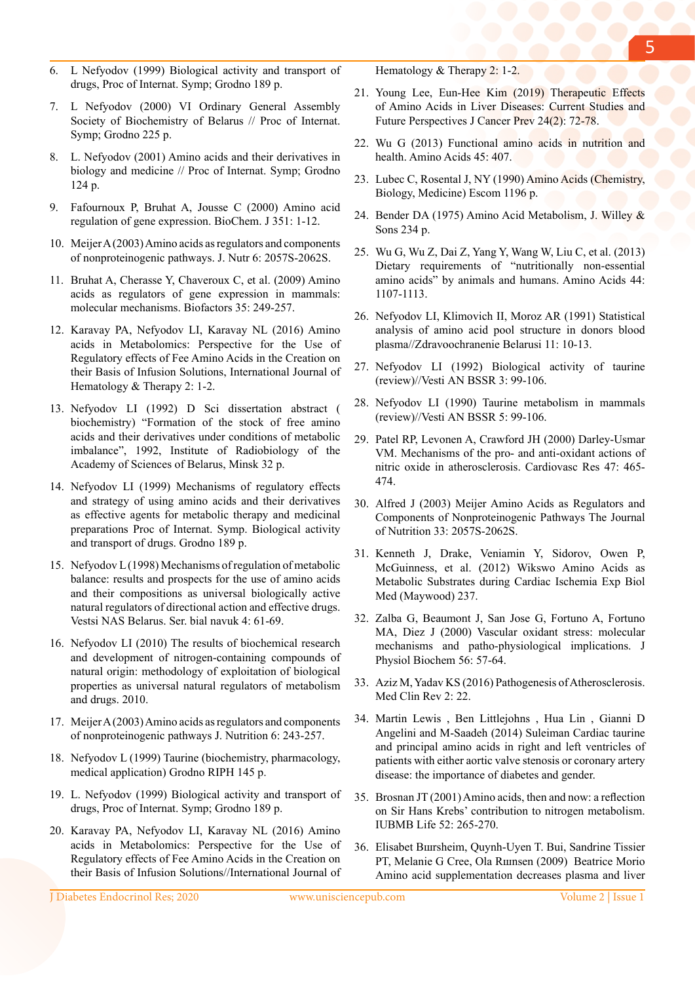- 6. L Nefyodov (1999) Biological activity and transport of drugs, Proc of Internat. Symp; Grodno 189 p.
- 7. L Nefyodov (2000) VI Ordinary General Assembly Society of Biochemistry of Belarus // Proc of Internat. Symp; Grodno 225 p.
- 8. L. Nefyodov (2001) Amino acids and their derivatives in biology and medicine // Proc of Internat. Symp; Grodno 124 p.
- 9. Fafournoux P, Bruhat A, Jousse C (2000) Amino acid regulation of gene expression. BioChem. J 351: 1-12.
- 10. Meijer A (2003) Amino acids as regulators and components of nonproteinogenic pathways. J. Nutr 6: 2057S-2062S.
- 11. Bruhat A, Cherasse Y, Chaveroux C, et al. (2009) Amino acids as regulators of gene expression in mammals: molecular mechanisms. Biofactors 35: 249-257.
- 12. Karavay PA, Nefyodov LI, Karavay NL (2016) Amino acids in Metabolomics: Perspective for the Use of Regulatory effects of Fee Amino Acids in the Creation on their Basis of Infusion Solutions, International Journal of Hematology & Therapy 2: 1-2.
- 13. Nefyodov LI (1992) D Sci dissertation abstract ( biochemistry) "Formation of the stock of free amino acids and their derivatives under conditions of metabolic imbalance", 1992, Institute of Radiobiology of the Academy of Sciences of Belarus, Minsk 32 p.
- 14. Nefyodov LI (1999) Mechanisms of regulatory effects and strategy of using amino acids and their derivatives as effective agents for metabolic therapy and medicinal preparations Proc of Internat. Symp. Biological activity and transport of drugs. Grodno 189 p.
- 15. Nefyodov L (1998) Mechanisms of regulation of metabolic balance: results and prospects for the use of amino acids and their compositions as universal biologically active natural regulators of directional action and effective drugs. Vestsi NAS Belarus. Ser. bial navuk 4: 61-69.
- 16. Nefyodov LI (2010) The results of biochemical research and development of nitrogen-containing compounds of natural origin: methodology of exploitation of biological properties as universal natural regulators of metabolism and drugs. 2010.
- 17. Meijer A (2003) Amino acids as regulators and components of nonproteinogenic pathways J. Nutrition 6: 243-257.
- 18. Nefyodov L (1999) Taurine (biochemistry, pharmacology, medical application) Grodno RIPH 145 p.
- 19. L. Nefyodov (1999) Biological activity and transport of drugs, Proc of Internat. Symp; Grodno 189 p.
- 20. Karavay PA, Nefyodov LI, Karavay NL (2016) Amino acids in Metabolomics: Perspective for the Use of Regulatory effects of Fee Amino Acids in the Creation on their Basis of Infusion Solutions//International Journal of

Hematology & Therapy 2: 1-2.

- 21. Young Lee, Eun-Hee Kim (2019) Therapeutic Effects of Amino Acids in Liver Diseases: Current Studies and Future Perspectives J Cancer Prev 24(2): 72-78.
- 22. Wu G (2013) Functional amino acids in nutrition and health. Amino Acids 45: 407.
- 23. Lubec C, Rosental J, NY (1990) Amino Acids (Chemistry, Biology, Medicine) Escom 1196 p.
- 24. Bender DA (1975) Amino Acid Metabolism, J. Willey & Sons 234 p.
- 25. Wu G, Wu Z, Dai Z, Yang Y, Wang W, Liu C, et al. (2013) Dietary requirements of "nutritionally non-essential amino acids" by animals and humans. Amino Acids 44: 1107-1113.
- 26. Nefyodov LI, Klimovich II, Moroz AR (1991) Statistical analysis of amino acid pool structure in donors blood plasma//Zdravoochranenie Belarusi 11: 10-13.
- 27. Nefyodov LI (1992) Biological activity of taurine (review)//Vesti АN BSSR 3: 99-106.
- 28. Nefyodov LI (1990) Taurine metabolism in mammals (review)//Vesti АN BSSR 5: 99-106.
- 29. Patel RP, Levonen A, Crawford JH (2000) Darley-Usmar VM. Mechanisms of the pro- and anti-oxidant actions of nitric oxide in atherosclerosis. Cardiovasc Res 47: 465- 474.
- 30. Alfred J (2003) Meijer Amino Acids as Regulators and Components of Nonproteinogenic Pathways The Journal of Nutrition 33: 2057S-2062S.
- 31. Kenneth J, Drake, Veniamin Y, Sidorov, Owen P, McGuinness, et al. (2012) Wikswo Amino Acids as Metabolic Substrates during Cardiac Ischemia Exp Biol Med (Maywood) 237.
- 32. Zalba G, Beaumont J, San Jose G, Fortuno A, Fortuno MA, Diez J (2000) Vascular oxidant stress: molecular mechanisms and patho-physiological implications. J Physiol Biochem 56: 57-64.
- 33. Aziz M, Yadav KS (2016) Pathogenesis of Atherosclerosis. Med Clin Rev 2: 22.
- 34. Martin Lewis , Ben Littlejohns , Hua Lin , Gianni D Angelini and M-Saadeh (2014) Suleiman Cardiac taurine and principal amino acids in right and left ventricles of patients with either aortic valve stenosis or coronary artery disease: the importance of diabetes and gender.
- 35. Brosnan JT (2001) Amino acids, then and now: a reflection on Sir Hans Krebs' contribution to nitrogen metabolism. IUBMB Life 52: 265-270.
- 36. Elisabet Bшrsheim, Quynh-Uyen T. Bui, Sandrine Tissier PT, Melanie G Cree, Ola Rшnsen (2009) Beatrice Morio Amino acid supplementation decreases plasma and liver